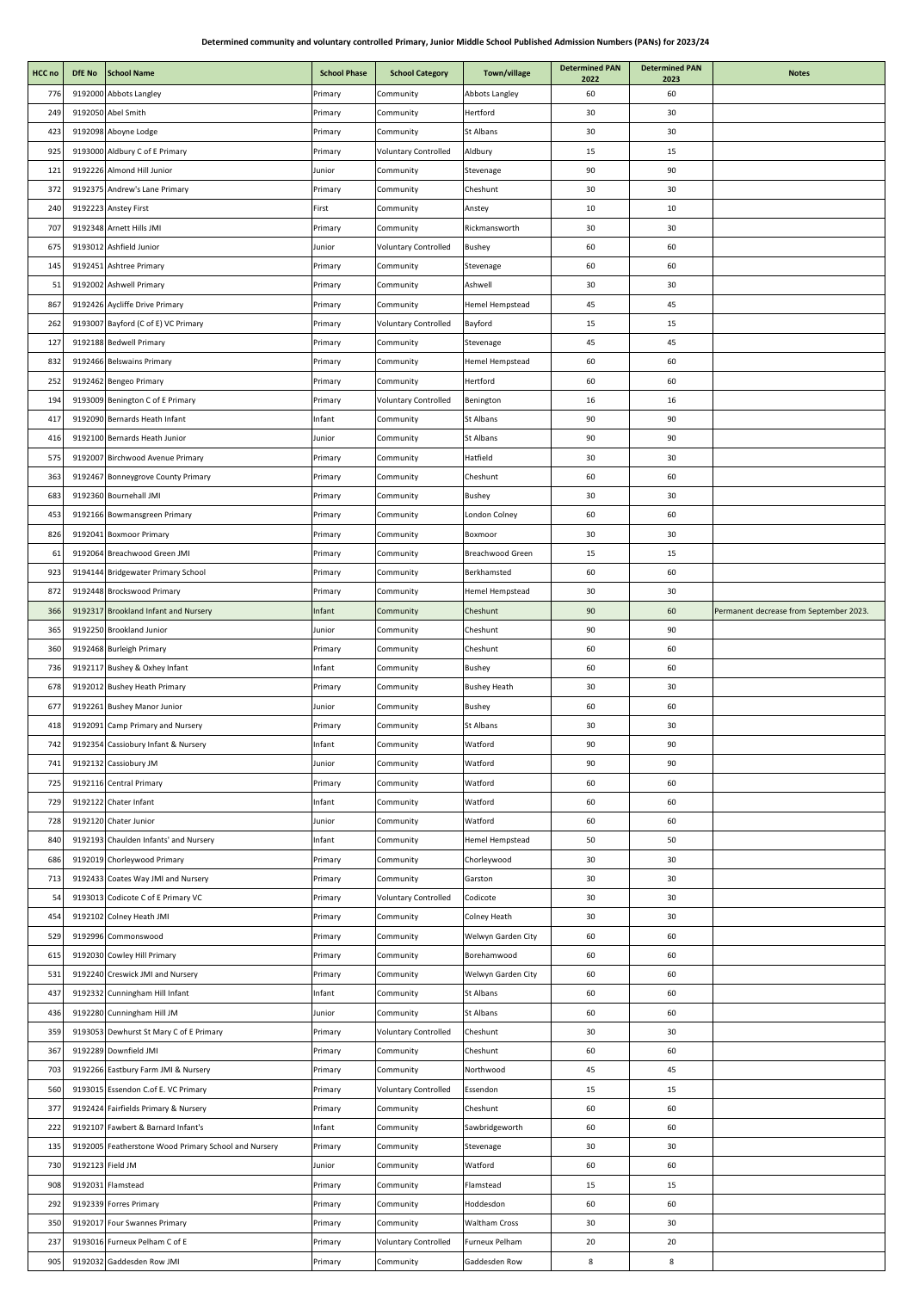J.

**Determined PAN** 

| HCC no | DfE No           | <b>School Name</b>                                   | <b>School Phase</b> | <b>School Category</b>      | Town/village         | <b>Determined PAN</b><br>2022 | <b>Determined PAN</b><br>2023 | <b>Notes</b>                            |
|--------|------------------|------------------------------------------------------|---------------------|-----------------------------|----------------------|-------------------------------|-------------------------------|-----------------------------------------|
| 776    |                  | 9192000 Abbots Langley                               | Primary             | Community                   | Abbots Langley       | 60                            | 60                            |                                         |
| 249    |                  | 9192050 Abel Smith                                   | Primary             | Community                   | Hertford             | 30                            | 30                            |                                         |
| 423    |                  | 9192098 Aboyne Lodge                                 | Primary             | Community                   | St Albans            | 30                            | 30                            |                                         |
| 925    |                  | 9193000 Aldbury C of E Primary                       | Primary             | <b>Voluntary Controlled</b> | Aldbury              | 15                            | 15                            |                                         |
| 121    |                  | 9192226 Almond Hill Junior                           | Junior              | Community                   | Stevenage            | 90                            | 90                            |                                         |
| 372    |                  | 9192375 Andrew's Lane Primary                        | Primary             | Community                   | Cheshunt             | 30                            | 30                            |                                         |
| 240    |                  | 9192223 Anstey First                                 | First               | Community                   | Anstey               | 10                            | 10                            |                                         |
| 707    |                  | 9192348 Arnett Hills JMI                             | Primary             | Community                   | Rickmansworth        | 30                            | 30                            |                                         |
|        |                  |                                                      |                     |                             |                      |                               |                               |                                         |
| 675    |                  | 9193012 Ashfield Junior                              | Junior              | <b>Voluntary Controlled</b> | <b>Bushey</b>        | 60                            | 60                            |                                         |
| 145    |                  | 9192451 Ashtree Primary                              | Primary             | Community                   | Stevenage            | 60                            | 60                            |                                         |
| 51     |                  | 9192002 Ashwell Primary                              | Primary             | Community                   | Ashwell              | 30                            | 30                            |                                         |
| 867    |                  | 9192426 Aycliffe Drive Primary                       | Primary             | Community                   | Hemel Hempstead      | 45                            | 45                            |                                         |
| 262    |                  | 9193007 Bayford (C of E) VC Primary                  | Primary             | <b>Voluntary Controlled</b> | Bayford              | 15                            | 15                            |                                         |
| 127    |                  | 9192188 Bedwell Primary                              | Primary             | Community                   | Stevenage            | 45                            | 45                            |                                         |
| 832    |                  | 9192466 Belswains Primary                            | Primary             | Community                   | Hemel Hempstead      | 60                            | 60                            |                                         |
| 252    |                  | 9192462 Bengeo Primary                               | Primary             | Community                   | Hertford             | 60                            | 60                            |                                         |
| 194    |                  | 9193009 Benington C of E Primary                     | Primary             | <b>Voluntary Controlled</b> | Benington            | 16                            | 16                            |                                         |
| 417    |                  | 9192090 Bernards Heath Infant                        | Infant              | Community                   | St Albans            | 90                            | 90                            |                                         |
| 416    |                  | 9192100 Bernards Heath Junior                        | Junior              | Community                   | St Albans            | 90                            | 90                            |                                         |
| 575    |                  | 9192007 Birchwood Avenue Primary                     | Primary             | Community                   | Hatfield             | 30                            | 30                            |                                         |
| 363    |                  | 9192467 Bonneygrove County Primary                   | Primary             | Community                   | Cheshunt             | 60                            | 60                            |                                         |
| 683    |                  | 9192360 Bournehall JMI                               | Primary             | Community                   | <b>Bushey</b>        | 30                            | 30                            |                                         |
| 453    |                  | 9192166 Bowmansgreen Primary                         | Primary             | Community                   | London Colney        | 60                            | 60                            |                                         |
| 826    |                  | 9192041 Boxmoor Primary                              | Primary             | Community                   | Boxmoor              | 30                            | 30                            |                                         |
| 61     |                  | 9192064 Breachwood Green JMI                         | Primary             | Community                   | Breachwood Green     | 15                            | 15                            |                                         |
| 923    |                  | 9194144 Bridgewater Primary School                   |                     |                             | Berkhamsted          | 60                            | 60                            |                                         |
|        |                  |                                                      | Primary             | Community                   |                      |                               |                               |                                         |
| 872    |                  | 9192448 Brockswood Primary                           | Primary             | Community                   | Hemel Hempstead      | 30                            | 30                            |                                         |
| 366    |                  | 9192317 Brookland Infant and Nursery                 | Infant              | Community                   | Cheshunt             | 90                            | 60                            | Permanent decrease from September 2023. |
| 365    |                  | 9192250 Brookland Junior                             | Junior              | Community                   | Cheshunt             | 90                            | 90                            |                                         |
| 360    |                  | 9192468 Burleigh Primary                             | Primary             | Community                   | Cheshunt             | 60                            | 60                            |                                         |
| 736    |                  | 9192117 Bushey & Oxhey Infant                        | Infant              | Community                   | <b>Bushey</b>        | 60                            | 60                            |                                         |
| 678    |                  | 9192012 Bushey Heath Primary                         | Primary             | Community                   | <b>Bushey Heath</b>  | 30                            | 30                            |                                         |
| 677    |                  | 9192261 Bushey Manor Junior                          | Junior              | Community                   | Bushey               | 60                            | 60                            |                                         |
| 418    |                  | 9192091 Camp Primary and Nursery                     | Primary             | Community                   | St Albans            | 30                            | 30                            |                                         |
| 742    |                  | 9192354 Cassiobury Infant & Nursery                  | Infant              | Community                   | Watford              | 90                            | 90                            |                                         |
| 741    |                  | 9192132 Cassiobury JM                                | Junior              | Community                   | Watford              | 90                            | 90                            |                                         |
| 725    |                  | 9192116 Central Primary                              | Primary             | Community                   | Watford              | 60                            | 60                            |                                         |
| 729    |                  | 9192122 Chater Infant                                | Infant              | Community                   | Watford              | 60                            | 60                            |                                         |
| 728    |                  | 9192120 Chater Junior                                | Junior              | Community                   | Watford              | 60                            | 60                            |                                         |
| 840    |                  | 9192193 Chaulden Infants' and Nursery                | Infant              | Community                   | Hemel Hempstead      | 50                            | 50                            |                                         |
| 686    |                  | 9192019 Chorleywood Primary                          | Primary             | Community                   | Chorleywood          | 30                            | 30                            |                                         |
| 713    |                  | 9192433 Coates Way JMI and Nursery                   | Primary             | Community                   | Garston              | 30                            | 30                            |                                         |
| 54     |                  | 9193013 Codicote C of E Primary VC                   | Primary             | <b>Voluntary Controlled</b> | Codicote             | 30                            | 30                            |                                         |
| 454    |                  | 9192102 Colney Heath JMI                             | Primary             | Community                   | Colney Heath         | 30                            | 30                            |                                         |
| 529    |                  | 9192996 Commonswood                                  | Primary             | Community                   | Welwyn Garden City   | 60                            | 60                            |                                         |
| 615    |                  | 9192030 Cowley Hill Primary                          | Primary             | Community                   | Borehamwood          | 60                            | 60                            |                                         |
| 531    |                  | 9192240 Creswick JMI and Nursery                     | Primary             | Community                   | Welwyn Garden City   | 60                            | 60                            |                                         |
| 437    |                  |                                                      | Infant              | Community                   | St Albans            | 60                            | 60                            |                                         |
|        |                  | 9192332 Cunningham Hill Infant                       |                     |                             |                      |                               |                               |                                         |
| 436    |                  | 9192280 Cunningham Hill JM                           | Junior              | Community                   | St Albans            | 60                            | 60                            |                                         |
| 359    |                  | 9193053 Dewhurst St Mary C of E Primary              | Primary             | <b>Voluntary Controlled</b> | Cheshunt             | 30                            | 30                            |                                         |
| 367    |                  | 9192289 Downfield JMI                                | Primary             | Community                   | Cheshunt             | 60                            | 60                            |                                         |
| 703    |                  | 9192266 Eastbury Farm JMI & Nursery                  | Primary             | Community                   | Northwood            | 45                            | 45                            |                                         |
| 560    |                  | 9193015 Essendon C.of E. VC Primary                  | Primary             | <b>Voluntary Controlled</b> | Essendon             | 15                            | 15                            |                                         |
| 377    |                  | 9192424 Fairfields Primary & Nursery                 | Primary             | Community                   | Cheshunt             | 60                            | 60                            |                                         |
| 222    |                  | 9192107 Fawbert & Barnard Infant's                   | Infant              | Community                   | Sawbridgeworth       | 60                            | 60                            |                                         |
| 135    |                  | 9192005 Featherstone Wood Primary School and Nursery | Primary             | Community                   | Stevenage            | 30                            | 30                            |                                         |
| 730    | 9192123 Field JM |                                                      | Junior              | Community                   | Watford              | 60                            | 60                            |                                         |
| 908    |                  | 9192031 Flamstead                                    | Primary             | Community                   | Flamstead            | 15                            | 15                            |                                         |
| 292    |                  | 9192339 Forres Primary                               | Primary             | Community                   | Hoddesdon            | 60                            | 60                            |                                         |
| 350    |                  | 9192017 Four Swannes Primary                         | Primary             | Community                   | <b>Waltham Cross</b> | 30                            | 30                            |                                         |
| 237    |                  | 9193016 Furneux Pelham C of E                        | Primary             | <b>Voluntary Controlled</b> | Furneux Pelham       | 20                            | 20                            |                                         |
| 905    |                  | 9192032 Gaddesden Row JMI                            | Primary             | Community                   | Gaddesden Row        | $\bf8$                        | 8                             |                                         |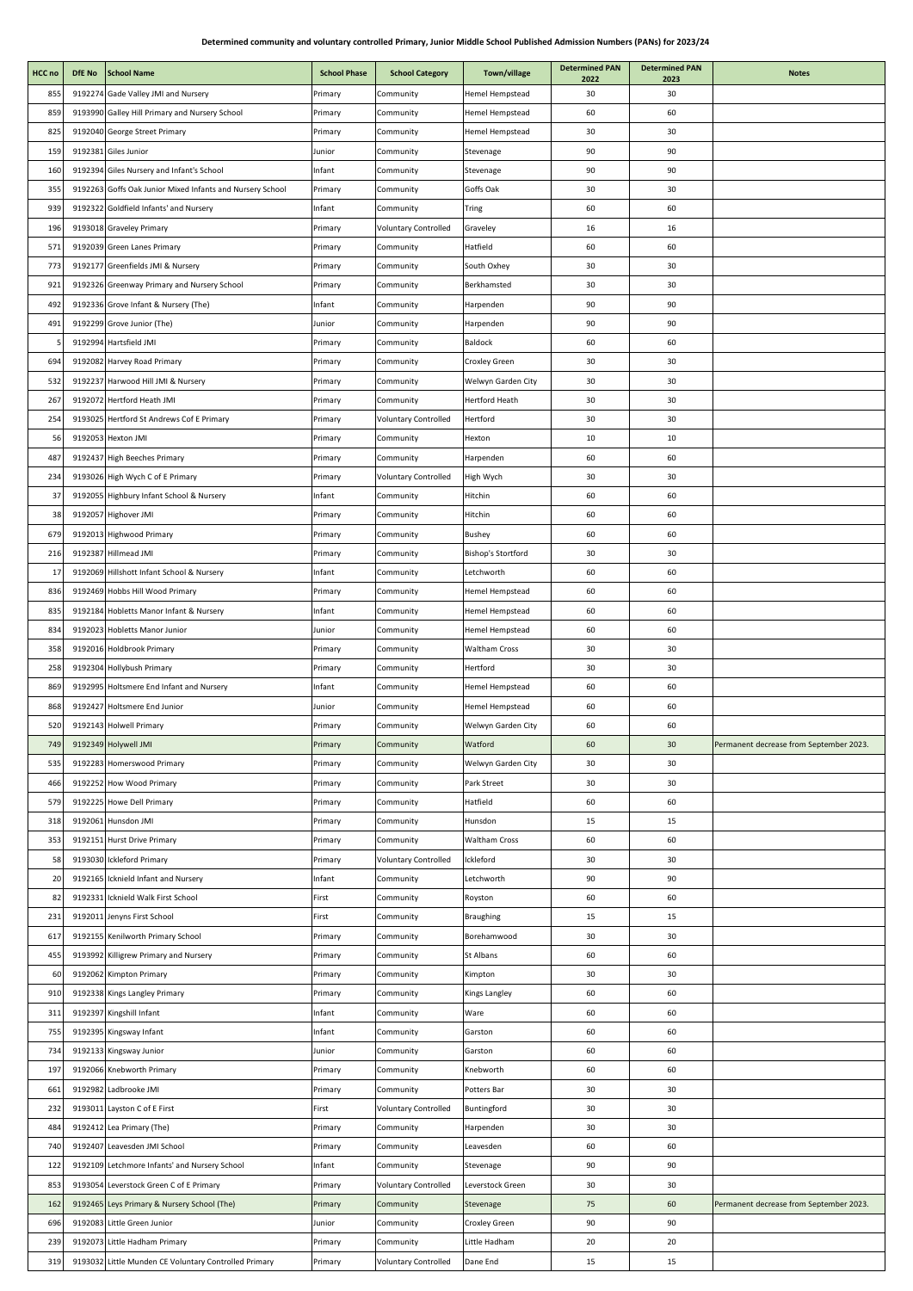| HCC no | DfE No  | <b>School Name</b>                                        | <b>School Phase</b> | <b>School Category</b>      | Town/village           | <b>Determined PAN</b><br>2022 | <b>Determined PAN</b><br>2023 | <b>Notes</b>                            |
|--------|---------|-----------------------------------------------------------|---------------------|-----------------------------|------------------------|-------------------------------|-------------------------------|-----------------------------------------|
| 855    |         | 9192274 Gade Valley JMI and Nursery                       | Primary             | Community                   | <b>Hemel Hempstead</b> | 30                            | 30                            |                                         |
| 859    |         | 9193990 Galley Hill Primary and Nursery School            | Primary             | Community                   | Hemel Hempstead        | 60                            | 60                            |                                         |
| 825    |         | 9192040 George Street Primary                             | Primary             | Community                   | Hemel Hempstead        | 30                            | 30                            |                                         |
| 159    |         | 9192381 Giles Junior                                      | Junior              | Community                   | Stevenage              | 90                            | 90                            |                                         |
| 160    |         | 9192394 Giles Nursery and Infant's School                 | Infant              | Community                   | Stevenage              | 90                            | 90                            |                                         |
| 355    |         | 9192263 Goffs Oak Junior Mixed Infants and Nursery School | Primary             | Community                   | Goffs Oak              | 30                            | 30                            |                                         |
| 939    |         | 9192322 Goldfield Infants' and Nursery                    | Infant              | Community                   | Tring                  | 60                            | 60                            |                                         |
| 196    |         | 9193018 Graveley Primary                                  | Primary             | <b>Voluntary Controlled</b> | Graveley               | 16                            | 16                            |                                         |
| 571    |         | 9192039 Green Lanes Primary                               | Primary             | Community                   | Hatfield               | 60                            | 60                            |                                         |
| 773    |         | 9192177 Greenfields JMI & Nursery                         | Primary             | Community                   | South Oxhey            | 30                            | 30                            |                                         |
| 921    |         | 9192326 Greenway Primary and Nursery School               | Primary             | Community                   | Berkhamsted            | 30                            | 30                            |                                         |
| 492    |         | 9192336 Grove Infant & Nursery (The)                      | Infant              | Community                   | Harpenden              | 90                            | 90                            |                                         |
| 491    |         | 9192299 Grove Junior (The)                                | Junior              | Community                   | Harpenden              | 90                            | 90                            |                                         |
|        |         | 9192994 Hartsfield JMI                                    | Primary             | Community                   | Baldock                | 60                            | 60                            |                                         |
| 694    |         | 9192082 Harvey Road Primary                               | Primary             | Community                   | Croxley Green          | 30                            | 30                            |                                         |
| 532    |         | 9192237 Harwood Hill JMI & Nursery                        | Primary             | Community                   | Welwyn Garden City     | 30                            | 30                            |                                         |
| 267    |         | 9192072 Hertford Heath JMI                                | Primary             | Community                   | <b>Hertford Heath</b>  | 30                            | 30                            |                                         |
| 254    |         | 9193025 Hertford St Andrews Cof E Primary                 | Primary             | <b>Voluntary Controlled</b> | Hertford               | 30                            | 30                            |                                         |
| 56     |         | 9192053 Hexton JMI                                        | Primary             | Community                   | Hexton                 | 10                            | 10                            |                                         |
| 487    |         | 9192437 High Beeches Primary                              | Primary             | Community                   | Harpenden              | 60                            | 60                            |                                         |
| 234    |         | 9193026 High Wych C of E Primary                          | Primary             | <b>Voluntary Controlled</b> | High Wych              | 30                            | 30                            |                                         |
| 37     |         | 9192055 Highbury Infant School & Nursery                  | Infant              | Community                   | Hitchin                | 60                            | 60                            |                                         |
| 38     |         | 9192057 Highover JMI                                      | Primary             | Community                   | Hitchin                | 60                            | 60                            |                                         |
| 679    |         | 9192013 Highwood Primary                                  | Primary             | Community                   | <b>Bushey</b>          | 60                            | 60                            |                                         |
| 216    |         | 9192387 Hillmead JMI                                      | Primary             | Community                   | Bishop's Stortford     | 30                            | 30                            |                                         |
| 17     |         | 9192069 Hillshott Infant School & Nursery                 | Infant              | Community                   | Letchworth             | 60                            | 60                            |                                         |
| 836    |         | 9192469 Hobbs Hill Wood Primary                           | Primary             | Community                   | Hemel Hempstead        | 60                            | 60                            |                                         |
| 835    |         | 9192184 Hobletts Manor Infant & Nursery                   | Infant              | Community                   | Hemel Hempstead        | 60                            | 60                            |                                         |
| 834    |         | 9192023 Hobletts Manor Junior                             | Junior              | Community                   | Hemel Hempstead        | 60                            | 60                            |                                         |
| 358    |         | 9192016 Holdbrook Primary                                 | Primary             | Community                   | <b>Waltham Cross</b>   | 30                            | 30                            |                                         |
| 258    |         | 9192304 Hollybush Primary                                 | Primary             | Community                   | Hertford               | 30                            | 30                            |                                         |
| 869    |         | 9192995 Holtsmere End Infant and Nursery                  | Infant              | Community                   | Hemel Hempstead        | 60                            | 60                            |                                         |
| 868    |         | 9192427 Holtsmere End Junior                              | Junior              | Community                   | Hemel Hempstead        | 60                            | 60                            |                                         |
| 520    |         | 9192143 Holwell Primary                                   | Primary             | Community                   | Welwyn Garden City     | 60                            | 60                            |                                         |
| 749    |         | 9192349 Holywell JMI                                      | Primary             | Community                   | Watford                | 60                            | 30                            | Permanent decrease from September 2023. |
| 535    |         | 9192283 Homerswood Primary                                | Primary             | Community                   | Welwyn Garden City     | 30                            | 30                            |                                         |
| 466    |         | 9192252 How Wood Primary                                  | Primary             | Community                   | Park Street            | 30                            | 30                            |                                         |
| 579    |         | 9192225 Howe Dell Primary                                 | Primary             | Community                   | Hatfield               | 60                            | 60                            |                                         |
| 318    |         | 9192061 Hunsdon JMI                                       | Primary             | Community                   | Hunsdon                | 15                            | 15                            |                                         |
| 353    |         | 9192151 Hurst Drive Primary                               | Primary             | Community                   | <b>Waltham Cross</b>   | 60                            | 60                            |                                         |
| 58     | 9193030 | <b>Ickleford Primary</b>                                  | Primary             | <b>Voluntary Controlled</b> | Ickleford              | 30                            | 30                            |                                         |
| 20     |         | 9192165 Icknield Infant and Nursery                       | Infant              | Community                   | Letchworth             | 90                            | 90                            |                                         |
| 82     |         | 9192331 Icknield Walk First School                        | First               | Community                   | Royston                | 60                            | 60                            |                                         |
| 231    |         | 9192011 Jenyns First School                               | First               | Community                   | Braughing              | 15                            | 15                            |                                         |
| 617    |         | 9192155 Kenilworth Primary School                         | Primary             | Community                   | Borehamwood            | 30                            | 30                            |                                         |
| 455    |         | 9193992 Killigrew Primary and Nursery                     | Primary             | Community                   | St Albans              | 60                            | 60                            |                                         |
| 60     |         | 9192062 Kimpton Primary                                   | Primary             | Community                   | Kimpton                | 30                            | 30                            |                                         |
| 910    |         | 9192338 Kings Langley Primary                             | Primary             | Community                   | Kings Langley          | 60                            | 60                            |                                         |
| 311    |         | 9192397 Kingshill Infant                                  | Infant              | Community                   | Ware                   | 60                            | 60                            |                                         |
| 755    |         | 9192395 Kingsway Infant                                   | Infant              | Community                   | Garston                | 60                            | 60                            |                                         |
| 734    |         | 9192133 Kingsway Junior                                   | Junior              | Community                   | Garston                | 60                            | 60                            |                                         |
| 197    |         | 9192066 Knebworth Primary                                 |                     |                             | Knebworth              | 60                            | 60                            |                                         |
| 661    |         | 9192982 Ladbrooke JMI                                     | Primary<br>Primary  | Community<br>Community      | Potters Bar            | 30                            | 30                            |                                         |
| 232    |         | 9193011 Layston C of E First                              | First               | <b>Voluntary Controlled</b> | Buntingford            | 30                            | 30                            |                                         |
| 484    |         | 9192412 Lea Primary (The)                                 | Primary             | Community                   | Harpenden              | 30                            | 30                            |                                         |
| 740    |         | 9192407 Leavesden JMI School                              |                     |                             | Leavesden              | 60                            | 60                            |                                         |
| 122    |         | 9192109 Letchmore Infants' and Nursery School             | Primary             | Community                   |                        |                               |                               |                                         |
|        |         |                                                           | Infant              | Community                   | Stevenage              | 90                            | 90                            |                                         |
| 853    |         | 9193054 Leverstock Green C of E Primary                   | Primary             | <b>Voluntary Controlled</b> | Leverstock Green       | 30                            | 30                            |                                         |
| 162    |         | 9192465 Leys Primary & Nursery School (The)               | Primary             | Community                   | Stevenage              | 75                            | 60                            | Permanent decrease from September 2023. |
| 696    |         | 9192083 Little Green Junior                               | Junior              | Community                   | Croxley Green          | 90                            | 90                            |                                         |
| 239    |         | 9192073 Little Hadham Primary                             | Primary             | Community                   | Little Hadham          | 20                            | 20                            |                                         |
| 319    |         | 9193032 Little Munden CE Voluntary Controlled Primary     | Primary             | <b>Voluntary Controlled</b> | Dane End               | 15                            | 15                            |                                         |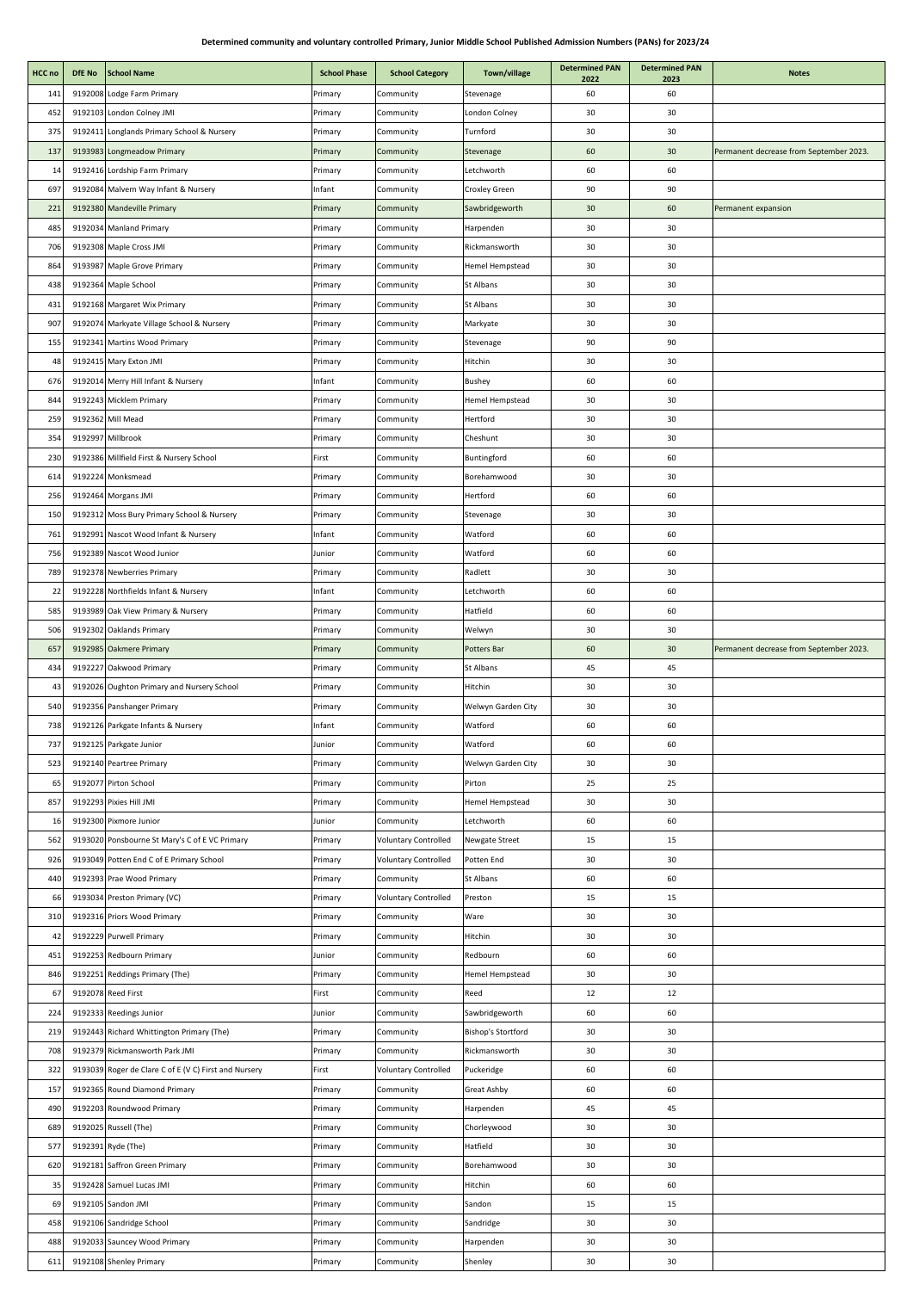| HCC no | DfE No | <b>School Name</b>                                    | <b>School Phase</b> | <b>School Category</b>      | Town/village       | <b>Determined PAN</b><br>2022 | <b>Determined PAN</b><br>2023 | <b>Notes</b>                            |
|--------|--------|-------------------------------------------------------|---------------------|-----------------------------|--------------------|-------------------------------|-------------------------------|-----------------------------------------|
| 141    |        | 9192008 Lodge Farm Primary                            | Primary             | Community                   | Stevenage          | 60                            | 60                            |                                         |
| 452    |        | 9192103 London Colney JMI                             | Primary             | Community                   | London Colney      | 30                            | 30                            |                                         |
| 375    |        | 9192411 Longlands Primary School & Nursery            | Primary             | Community                   | Turnford           | 30                            | 30                            |                                         |
| 137    |        | 9193983 Longmeadow Primary                            | Primary             | Community                   | Stevenage          | 60                            | 30                            | Permanent decrease from September 2023. |
| 14     |        | 9192416 Lordship Farm Primary                         | Primary             | Community                   | Letchworth         | 60                            | 60                            |                                         |
| 697    |        | 9192084 Malvern Way Infant & Nursery                  | Infant              | Community                   | Croxley Green      | 90                            | 90                            |                                         |
| 221    |        | 9192380 Mandeville Primary                            | Primary             | Community                   | Sawbridgeworth     | 30                            | 60                            | Permanent expansion                     |
| 485    |        | 9192034 Manland Primary                               | Primary             | Community                   | Harpenden          | 30                            | 30                            |                                         |
| 706    |        | 9192308 Maple Cross JMI                               | Primary             | Community                   | Rickmansworth      | 30                            | 30                            |                                         |
| 864    |        | 9193987 Maple Grove Primary                           | Primary             | Community                   | Hemel Hempstead    | 30                            | 30                            |                                         |
| 438    |        | 9192364 Maple School                                  | Primary             | Community                   | St Albans          | 30                            | 30                            |                                         |
| 431    |        | 9192168 Margaret Wix Primary                          | Primary             | Community                   | St Albans          | 30                            | 30                            |                                         |
| 907    |        | 9192074 Markyate Village School & Nursery             | Primary             | Community                   | Markyate           | 30                            | 30                            |                                         |
| 155    |        | 9192341 Martins Wood Primary                          | Primary             | Community                   | Stevenage          | 90                            | 90                            |                                         |
| 48     |        | 9192415 Mary Exton JMI                                | Primary             | Community                   | Hitchin            | 30                            | 30                            |                                         |
| 676    |        | 9192014 Merry Hill Infant & Nursery                   | Infant              | Community                   | <b>Bushey</b>      | 60                            | 60                            |                                         |
| 844    |        | 9192243 Micklem Primary                               | Primary             | Community                   | Hemel Hempstead    | 30                            | 30                            |                                         |
| 259    |        | 9192362 Mill Mead                                     |                     |                             | Hertford           | 30                            | 30                            |                                         |
|        |        |                                                       | Primary             | Community                   |                    |                               |                               |                                         |
| 354    |        | 9192997 Millbrook                                     | Primary             | Community                   | Cheshunt           | 30                            | 30                            |                                         |
| 230    |        | 9192386 Millfield First & Nursery School              | First               | Community                   | Buntingford        | 60                            | 60                            |                                         |
| 614    |        | 9192224 Monksmead                                     | Primary             | Community                   | Borehamwood        | 30                            | 30                            |                                         |
| 256    |        | 9192464 Morgans JMI                                   | Primary             | Community                   | Hertford           | 60                            | 60                            |                                         |
| 150    |        | 9192312 Moss Bury Primary School & Nursery            | Primary             | Community                   | Stevenage          | 30                            | 30                            |                                         |
| 761    |        | 9192991 Nascot Wood Infant & Nursery                  | Infant              | Community                   | Watford            | 60                            | 60                            |                                         |
| 756    |        | 9192389 Nascot Wood Junior                            | Junior              | Community                   | Watford            | 60                            | 60                            |                                         |
| 789    |        | 9192378 Newberries Primary                            | Primary             | Community                   | Radlett            | 30                            | 30                            |                                         |
| 22     |        | 9192228 Northfields Infant & Nursery                  | Infant              | Community                   | Letchworth         | 60                            | 60                            |                                         |
| 585    |        | 9193989 Oak View Primary & Nursery                    | Primary             | Community                   | Hatfield           | 60                            | 60                            |                                         |
| 506    |        | 9192302 Oaklands Primary                              | Primary             | Community                   | Welwyn             | 30                            | 30                            |                                         |
| 657    |        | 9192985 Oakmere Primary                               | Primary             | Community                   | Potters Bar        | 60                            | 30                            | Permanent decrease from September 2023. |
| 434    |        | 9192227 Oakwood Primary                               | Primary             | Community                   | St Albans          | 45                            | 45                            |                                         |
| 43     |        | 9192026 Oughton Primary and Nursery School            | Primary             | Community                   | Hitchin            | 30                            | 30                            |                                         |
| 540    |        | 9192356 Panshanger Primary                            | Primary             | Community                   | Welwyn Garden City | 30                            | 30                            |                                         |
| 738    |        | 9192126 Parkgate Infants & Nursery                    | Infant              | Community                   | Watford            | 60                            | 60                            |                                         |
| 737    |        | 9192125 Parkgate Junior                               | Junior              | Community                   | Watford            | 60                            | 60                            |                                         |
| 523    |        | 9192140 Peartree Primary                              | Primary             | Community                   | Welwyn Garden City | 30                            | 30                            |                                         |
| 65     |        | 9192077 Pirton School                                 | Primary             | Community                   | Pirton             | 25                            | 25                            |                                         |
| 857    |        | 9192293 Pixies Hill JMI                               | Primary             | Community                   | Hemel Hempstead    | 30                            | 30                            |                                         |
| 16     |        | 9192300 Pixmore Junior                                | Junior              | Community                   | Letchworth         | 60                            | 60                            |                                         |
| 562    |        | 9193020 Ponsbourne St Mary's C of E VC Primary        | Primary             | <b>Voluntary Controlled</b> | Newgate Street     | 15                            | 15                            |                                         |
| 926    |        | 9193049 Potten End C of E Primary School              | Primary             | <b>Voluntary Controlled</b> | Potten End         | 30                            | 30                            |                                         |
| 440    |        | 9192393 Prae Wood Primary                             | Primary             | Community                   | St Albans          | 60                            | 60                            |                                         |
| 66     |        | 9193034 Preston Primary (VC)                          | Primary             | <b>Voluntary Controlled</b> | Preston            | 15                            | 15                            |                                         |
| 310    |        | 9192316 Priors Wood Primary                           | Primary             | Community                   | Ware               | 30                            | 30                            |                                         |
| 42     |        | 9192229 Purwell Primary                               | Primary             | Community                   | Hitchin            | 30                            | 30                            |                                         |
| 451    |        | 9192253 Redbourn Primary                              | Junior              | Community                   | Redbourn           | 60                            | 60                            |                                         |
| 846    |        | 9192251 Reddings Primary (The)                        | Primary             | Community                   | Hemel Hempstead    | 30                            | 30                            |                                         |
| 67     |        | 9192078 Reed First                                    | First               | Community                   | Reed               | 12                            | 12                            |                                         |
| 224    |        | 9192333 Reedings Junior                               | Junior              | Community                   | Sawbridgeworth     | 60                            | 60                            |                                         |
| 219    |        | 9192443 Richard Whittington Primary (The)             | Primary             | Community                   | Bishop's Stortford | 30                            | 30                            |                                         |
| 708    |        | 9192379 Rickmansworth Park JMI                        | Primary             | Community                   | Rickmansworth      | 30                            | 30                            |                                         |
| 322    |        | 9193039 Roger de Clare C of E (V C) First and Nursery | First               | <b>Voluntary Controlled</b> | Puckeridge         | 60                            | 60                            |                                         |
| 157    |        | 9192365 Round Diamond Primary                         | Primary             | Community                   | Great Ashby        | 60                            | 60                            |                                         |
| 490    |        | 9192203 Roundwood Primary                             | Primary             | Community                   | Harpenden          | 45                            | 45                            |                                         |
| 689    |        | 9192025 Russell (The)                                 | Primary             | Community                   | Chorleywood        | 30                            | 30                            |                                         |
| 577    |        | 9192391 Ryde (The)                                    | Primary             | Community                   | Hatfield           | 30                            | 30                            |                                         |
| 620    |        | 9192181 Saffron Green Primary                         | Primary             | Community                   | Borehamwood        | 30                            | 30                            |                                         |
| 35     |        | 9192428 Samuel Lucas JMI                              | Primary             | Community                   | Hitchin            | 60                            | 60                            |                                         |
| 69     |        | 9192105 Sandon JMI                                    | Primary             | Community                   | Sandon             | 15                            | 15                            |                                         |
| 458    |        | 9192106 Sandridge School                              | Primary             | Community                   | Sandridge          | 30                            | 30                            |                                         |
| 488    |        | 9192033 Sauncey Wood Primary                          | Primary             | Community                   | Harpenden          | 30                            | 30                            |                                         |
| 611    |        | 9192108 Shenley Primary                               | Primary             | Community                   | Shenley            | 30                            | 30                            |                                         |
|        |        |                                                       |                     |                             |                    |                               |                               |                                         |